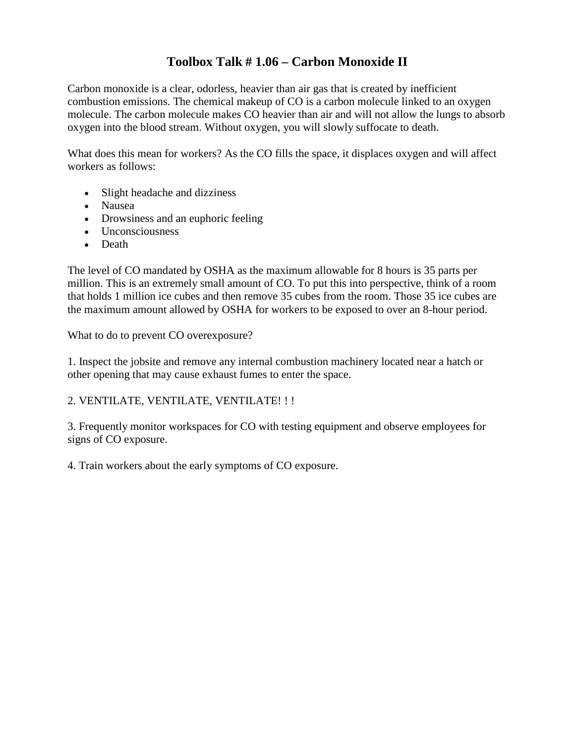### **Toolbox Talk # 1.06 – Carbon Monoxide II**

Carbon monoxide is a clear, odorless, heavier than air gas that is created by inefficient combustion emissions. The chemical makeup of CO is a carbon molecule linked to an oxygen molecule. The carbon molecule makes CO heavier than air and will not allow the lungs to absorb oxygen into the blood stream. Without oxygen, you will slowly suffocate to death.

What does this mean for workers? As the CO fills the space, it displaces oxygen and will affect workers as follows:

- Slight headache and dizziness
- Nausea
- Drowsiness and an euphoric feeling
- Unconsciousness
- Death

The level of CO mandated by OSHA as the maximum allowable for 8 hours is 35 parts per million. This is an extremely small amount of CO. To put this into perspective, think of a room that holds 1 million ice cubes and then remove 35 cubes from the room. Those 35 ice cubes are the maximum amount allowed by OSHA for workers to be exposed to over an 8-hour period.

What to do to prevent CO overexposure?

1. Inspect the jobsite and remove any internal combustion machinery located near a hatch or other opening that may cause exhaust fumes to enter the space.

#### 2. VENTILATE, VENTILATE, VENTILATE! ! !

3. Frequently monitor workspaces for CO with testing equipment and observe employees for signs of CO exposure.

4. Train workers about the early symptoms of CO exposure.